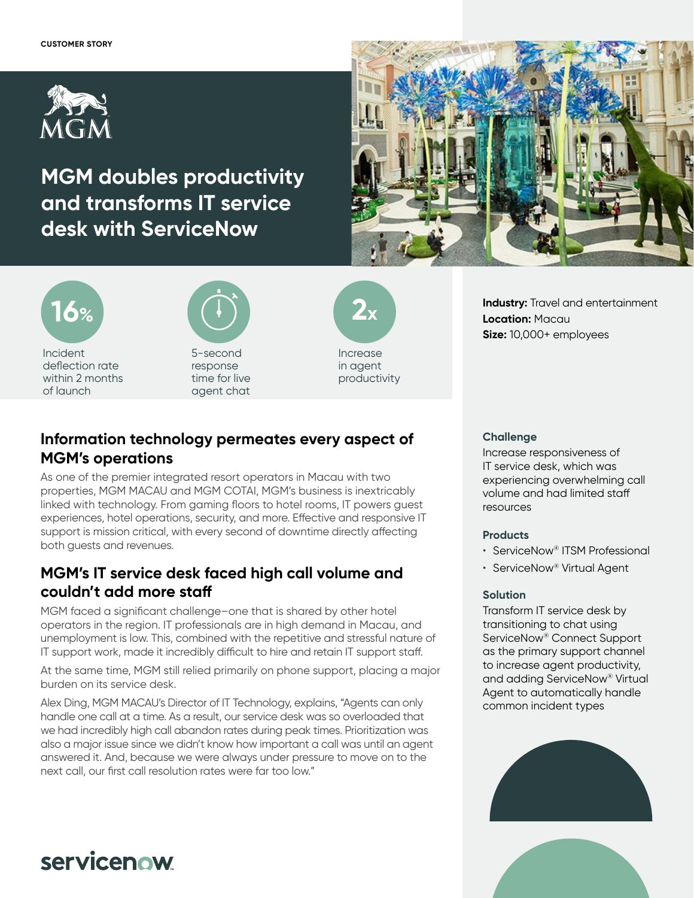

# **MGM doubles productivity and transforms IT service desk with ServiceNow**





of launch



5-second response time for live agent chat



in agent productivity

# **Information technology permeates every aspect of MGM's operations**

As one of the premier integrated resort operators in Macau with two properties, MGM MACAU and MGM COTAI, MGM's business is inextricably linked with technology. From gaming floors to hotel rooms, IT powers guest experiences, hotel operations, security, and more. Effective and responsive IT support is mission critical, with every second of downtime directly affecting both guests and revenues.

### **MGM's IT service desk faced high call volume and couldn't add more staff**

MGM faced a significant challenge–one that is shared by other hotel operators in the region. IT professionals are in high demand in Macau, and unemployment is low. This, combined with the repetitive and stressful nature of IT support work, made it incredibly difficult to hire and retain IT support staff.

At the same time, MGM still relied primarily on phone support, placing a major burden on its service desk.

Alex Ding, MGM MACAU's Director of IT Technology, explains, "Agents can only handle one call at a time. As a result, our service desk was so overloaded that we had incredibly high call abandon rates during peak times. Prioritization was also a major issue since we didn't know how important a call was until an agent answered it. And, because we were always under pressure to move on to the next call, our first call resolution rates were far too low."

**Size:** 10,000+ employees

**Location:** Macau

### **Challenge**

Increase responsiveness of IT service desk, which was experiencing overwhelming call volume and had limited staff resources

**Industry:** Travel and entertainment

### **Products**

- ServiceNow® ITSM Professional
- ServiceNow® Virtual Agent

### **Solution**

Transform IT service desk by transitioning to chat using ServiceNow® Connect Support as the primary support channel to increase agent productivity, and adding ServiceNow® Virtual Agent to automatically handle common incident types





# servicenow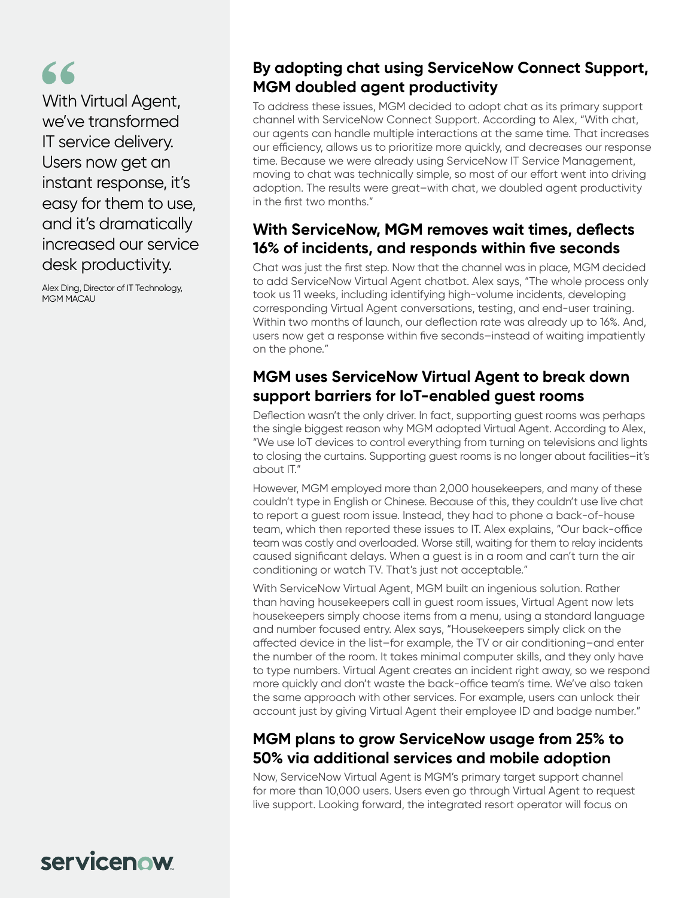# 66

With Virtual Agent, we've transformed IT service delivery. Users now get an instant response, it's easy for them to use, and it's dramatically increased our service desk productivity.

Alex Ding, Director of IT Technology, MGM MACAU

# **By adopting chat using ServiceNow Connect Support, MGM doubled agent productivity**

To address these issues, MGM decided to adopt chat as its primary support channel with ServiceNow Connect Support. According to Alex, "With chat, our agents can handle multiple interactions at the same time. That increases our efficiency, allows us to prioritize more quickly, and decreases our response time. Because we were already using ServiceNow IT Service Management, moving to chat was technically simple, so most of our effort went into driving adoption. The results were great–with chat, we doubled agent productivity in the first two months."

### **With ServiceNow, MGM removes wait times, deflects 16% of incidents, and responds within five seconds**

Chat was just the first step. Now that the channel was in place, MGM decided to add ServiceNow Virtual Agent chatbot. Alex says, "The whole process only took us 11 weeks, including identifying high-volume incidents, developing corresponding Virtual Agent conversations, testing, and end-user training. Within two months of launch, our deflection rate was already up to 16%. And, users now get a response within five seconds–instead of waiting impatiently on the phone."

# **MGM uses ServiceNow Virtual Agent to break down support barriers for IoT-enabled guest rooms**

Deflection wasn't the only driver. In fact, supporting guest rooms was perhaps the single biggest reason why MGM adopted Virtual Agent. According to Alex, "We use IoT devices to control everything from turning on televisions and lights to closing the curtains. Supporting guest rooms is no longer about facilities–it's about IT."

However, MGM employed more than 2,000 housekeepers, and many of these couldn't type in English or Chinese. Because of this, they couldn't use live chat to report a guest room issue. Instead, they had to phone a back-of-house team, which then reported these issues to IT. Alex explains, "Our back-office team was costly and overloaded. Worse still, waiting for them to relay incidents caused significant delays. When a guest is in a room and can't turn the air conditioning or watch TV. That's just not acceptable."

With ServiceNow Virtual Agent, MGM built an ingenious solution. Rather than having housekeepers call in guest room issues, Virtual Agent now lets housekeepers simply choose items from a menu, using a standard language and number focused entry. Alex says, "Housekeepers simply click on the affected device in the list–for example, the TV or air conditioning–and enter the number of the room. It takes minimal computer skills, and they only have to type numbers. Virtual Agent creates an incident right away, so we respond more quickly and don't waste the back-office team's time. We've also taken the same approach with other services. For example, users can unlock their account just by giving Virtual Agent their employee ID and badge number."

# **MGM plans to grow ServiceNow usage from 25% to 50% via additional services and mobile adoption**

Now, ServiceNow Virtual Agent is MGM's primary target support channel for more than 10,000 users. Users even go through Virtual Agent to request live support. Looking forward, the integrated resort operator will focus on

servicenow